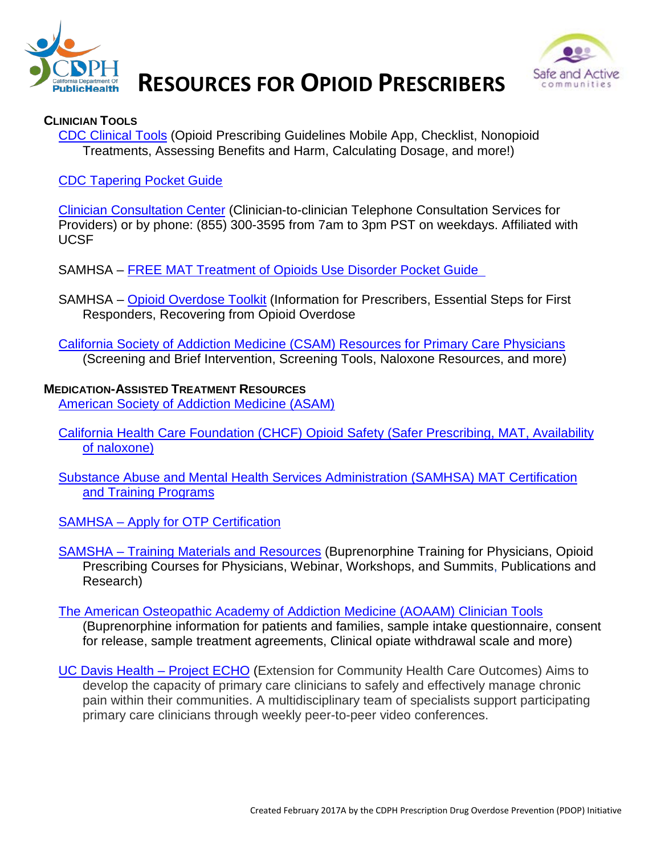



# **RESOURCES FOR OPIOID PRESCRIBERS**

#### **CLINICIAN TOOLS**

[CDC Clinical Tools](https://www.cdc.gov/drugoverdose/prescribing/clinical-tools.html) (Opioid Prescribing Guidelines Mobile App, Checklist, Nonopioid Treatments, Assessing Benefits and Harm, Calculating Dosage, and more!)

[CDC Tapering Pocket Guide](https://www.cdc.gov/drugoverdose/pdf/clinical_pocket_guide_tapering-a.pdf) 

[Clinician Consultation Center](http://nccc.ucsf.edu/clinician-consultation/substance-use-management/) (Clinician-to-clinician Telephone Consultation Services for Providers) or by phone: (855) 300-3595 from 7am to 3pm PST on weekdays. Affiliated with UCSF

- SAMHSA [FREE MAT Treatment of Opioids Use Disorder Pocket Guide](http://store.samhsa.gov/product/Medication-Assisted-Treatment-of-Opioid-Use-Disorder-Pocket-Guide/SMA16-4892PG)
- SAMHSA [Opioid Overdose Toolkit](http://store.samhsa.gov/shin/content/SMA13-4742/Overdose_Toolkit_2014_Jan.pdf) (Information for Prescribers, Essential Steps for First Responders, Recovering from Opioid Overdose
- [California Society of Addiction Medicine \(CSAM\) Resources for Primary Care Physicians](http://www.csam-asam.org/resources-primary-care-physicians) (Screening and Brief Intervention, Screening Tools, Naloxone Resources, and more)

#### **MEDICATION-ASSISTED TREATMENT RESOURCES** [American Society of Addiction Medicine \(ASAM\)](http://www.asam.org/)

- [California Health Care Foundation \(CHCF\) Opioid Safety \(Safer Prescribing, MAT, Availability](http://www.chcf.org/topics/opioid-safety)  [of naloxone\)](http://www.chcf.org/topics/opioid-safety)
- [Substance Abuse and Mental Health Services Administration \(SAMHSA\) MAT Certification](https://www.samhsa.gov/medication-assisted-treatment)  [and Training Programs](https://www.samhsa.gov/medication-assisted-treatment)
- SAMHSA [Apply for OTP Certification](https://www.samhsa.gov/medication-assisted-treatment/opioid-treatment-programs/apply)
- SAMSHA [Training Materials and Resources](https://www.samhsa.gov/medication-assisted-treatment/training-resources) (Buprenorphine Training for Physicians, Opioid Prescribing Courses for Physicians, Webinar, Workshops, and Summits, Publications and Research)
- [The American Osteopathic Academy of Addiction Medicine \(AOAAM\) Clinician Tools](http://www.aoaam.org/?page=ClinicalTools)

(Buprenorphine information for patients and families, sample intake questionnaire, consent for release, sample treatment agreements, Clinical opiate withdrawal scale and more)

[UC Davis Health –](https://www.ucdmc.ucdavis.edu/advancingpainrelief/Projects/ECHO.html) Project ECHO (Extension for Community Health Care Outcomes) Aims to develop the capacity of primary care clinicians to safely and effectively manage chronic pain within their communities. A multidisciplinary team of specialists support participating primary care clinicians through weekly peer-to-peer video conferences.